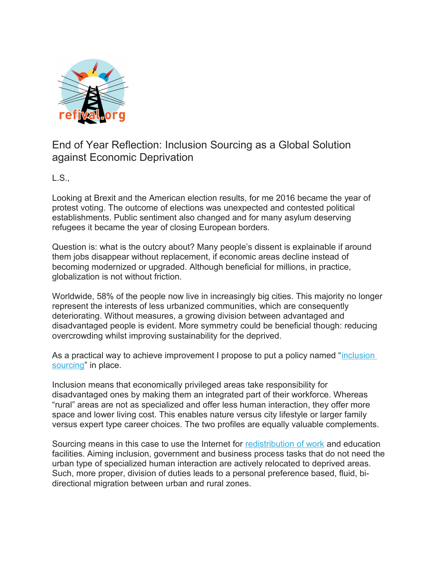

## End of Year Reflection: Inclusion Sourcing as a Global Solution against Economic Deprivation

L.S.,

Looking at Brexit and the American election results, for me 2016 became the year of protest voting. The outcome of elections was unexpected and contested political establishments. Public sentiment also changed and for many asylum deserving refugees it became the year of closing European borders.

Question is: what is the outcry about? Many people's dissent is explainable if around them jobs disappear without replacement, if economic areas decline instead of becoming modernized or upgraded. Although beneficial for millions, in practice, globalization is not without friction.

Worldwide, 58% of the people now live in increasingly big cities. This majority no longer represent the interests of less urbanized communities, which are consequently deteriorating. Without measures, a growing division between advantaged and disadvantaged people is evident. More symmetry could be beneficial though: reducing overcrowding whilst improving sustainability for the deprived.

As a practical way to achieve improvement I propose to put a policy named "*inclusion* [sourcing"](http://www.p1216.refival.org/) in place.

Inclusion means that economically privileged areas take responsibility for disadvantaged ones by making them an integrated part of their workforce. Whereas "rural" areas are not as specialized and offer less human interaction, they offer more space and lower living cost. This enables nature versus city lifestyle or larger family versus expert type career choices. The two profiles are equally valuable complements.

Sourcing means in this case to use the Internet for [redistribution of work](http://www.a1016.refival.org/) and education facilities. Aiming inclusion, government and business process tasks that do not need the urban type of specialized human interaction are actively relocated to deprived areas. Such, more proper, division of duties leads to a personal preference based, fluid, bidirectional migration between urban and rural zones.